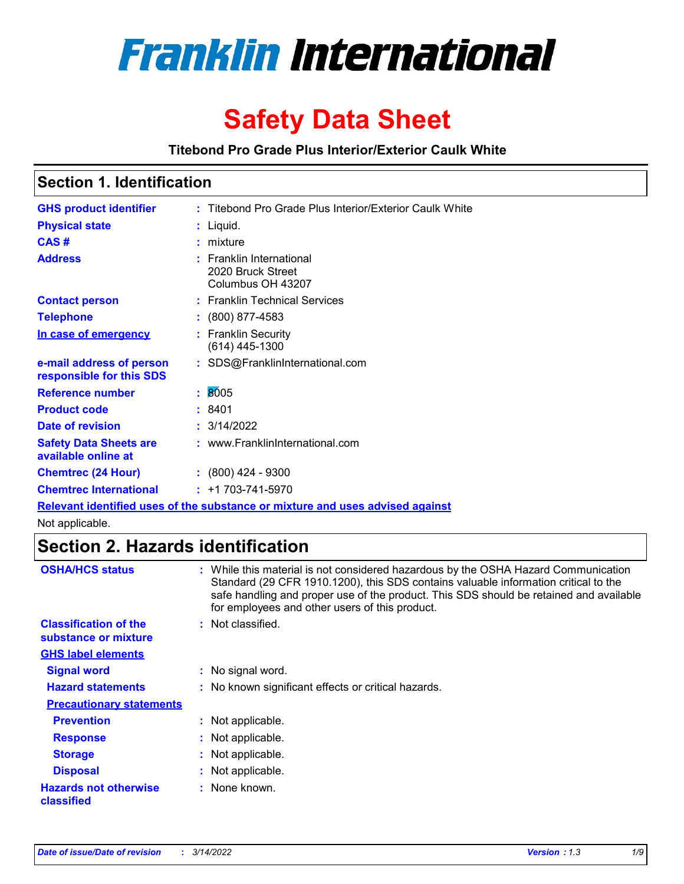

# **Safety Data Sheet**

**Titebond Pro Grade Plus Interior/Exterior Caulk White**

### **Section 1. Identification**

| <b>GHS product identifier</b>                        |    | : Titebond Pro Grade Plus Interior/Exterior Caulk White                       |
|------------------------------------------------------|----|-------------------------------------------------------------------------------|
| <b>Physical state</b>                                |    | $:$ Liquid.                                                                   |
| CAS#                                                 |    | $:$ mixture                                                                   |
| <b>Address</b>                                       |    | : Franklin International<br>2020 Bruck Street<br>Columbus OH 43207            |
| <b>Contact person</b>                                |    | : Franklin Technical Services                                                 |
| <b>Telephone</b>                                     |    | $: (800) 877-4583$                                                            |
| In case of emergency                                 |    | : Franklin Security<br>$(614)$ 445-1300                                       |
| e-mail address of person<br>responsible for this SDS |    | : SDS@FranklinInternational.com                                               |
| Reference number                                     | ÷. | 8005                                                                          |
| <b>Product code</b>                                  |    | : 8401                                                                        |
| Date of revision                                     |    | : 3/14/2022                                                                   |
| <b>Safety Data Sheets are</b><br>available online at |    | : www.FranklinInternational.com                                               |
| <b>Chemtrec (24 Hour)</b>                            |    | $\div$ (800) 424 - 9300                                                       |
| <b>Chemtrec International</b>                        |    | $: +1703 - 741 - 5970$                                                        |
|                                                      |    | Relevant identified uses of the substance or mixture and uses advised against |

Not applicable.

### **Section 2. Hazards identification**

| <b>OSHA/HCS status</b>                               | : While this material is not considered hazardous by the OSHA Hazard Communication<br>Standard (29 CFR 1910.1200), this SDS contains valuable information critical to the<br>safe handling and proper use of the product. This SDS should be retained and available<br>for employees and other users of this product. |
|------------------------------------------------------|-----------------------------------------------------------------------------------------------------------------------------------------------------------------------------------------------------------------------------------------------------------------------------------------------------------------------|
| <b>Classification of the</b><br>substance or mixture | : Not classified.                                                                                                                                                                                                                                                                                                     |
| <b>GHS label elements</b>                            |                                                                                                                                                                                                                                                                                                                       |
| <b>Signal word</b>                                   | : No signal word.                                                                                                                                                                                                                                                                                                     |
| <b>Hazard statements</b>                             | : No known significant effects or critical hazards.                                                                                                                                                                                                                                                                   |
| <b>Precautionary statements</b>                      |                                                                                                                                                                                                                                                                                                                       |
| <b>Prevention</b>                                    | : Not applicable.                                                                                                                                                                                                                                                                                                     |
| <b>Response</b>                                      | : Not applicable.                                                                                                                                                                                                                                                                                                     |
| <b>Storage</b>                                       | : Not applicable.                                                                                                                                                                                                                                                                                                     |
| <b>Disposal</b>                                      | : Not applicable.                                                                                                                                                                                                                                                                                                     |
| <b>Hazards not otherwise</b><br><b>classified</b>    | : None known.                                                                                                                                                                                                                                                                                                         |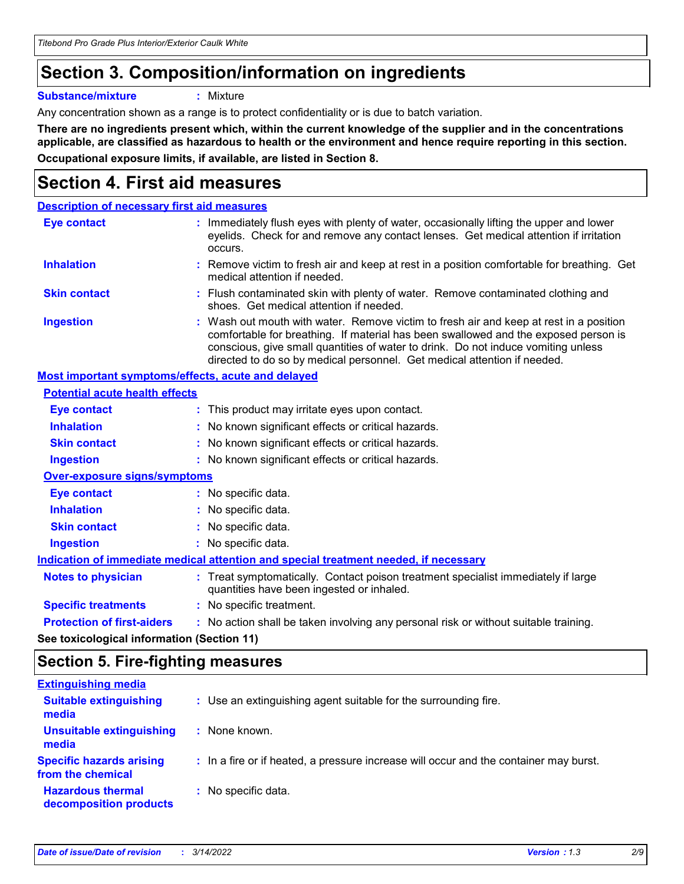### **Section 3. Composition/information on ingredients**

**Substance/mixture :** Mixture

Any concentration shown as a range is to protect confidentiality or is due to batch variation.

**There are no ingredients present which, within the current knowledge of the supplier and in the concentrations applicable, are classified as hazardous to health or the environment and hence require reporting in this section. Occupational exposure limits, if available, are listed in Section 8.**

### **Section 4. First aid measures**

| <b>Description of necessary first aid measures</b>        |                                                                                                                                                                                                                                                                                                                                                |
|-----------------------------------------------------------|------------------------------------------------------------------------------------------------------------------------------------------------------------------------------------------------------------------------------------------------------------------------------------------------------------------------------------------------|
| <b>Eye contact</b>                                        | : Immediately flush eyes with plenty of water, occasionally lifting the upper and lower<br>eyelids. Check for and remove any contact lenses. Get medical attention if irritation<br>occurs.                                                                                                                                                    |
| <b>Inhalation</b>                                         | : Remove victim to fresh air and keep at rest in a position comfortable for breathing. Get<br>medical attention if needed.                                                                                                                                                                                                                     |
| <b>Skin contact</b>                                       | : Flush contaminated skin with plenty of water. Remove contaminated clothing and<br>shoes. Get medical attention if needed.                                                                                                                                                                                                                    |
| <b>Ingestion</b>                                          | : Wash out mouth with water. Remove victim to fresh air and keep at rest in a position<br>comfortable for breathing. If material has been swallowed and the exposed person is<br>conscious, give small quantities of water to drink. Do not induce vomiting unless<br>directed to do so by medical personnel. Get medical attention if needed. |
| <b>Most important symptoms/effects, acute and delayed</b> |                                                                                                                                                                                                                                                                                                                                                |
| <b>Potential acute health effects</b>                     |                                                                                                                                                                                                                                                                                                                                                |
| Eye contact                                               | : This product may irritate eyes upon contact.                                                                                                                                                                                                                                                                                                 |
| <b>Inhalation</b>                                         | : No known significant effects or critical hazards.                                                                                                                                                                                                                                                                                            |
| <b>Skin contact</b>                                       | : No known significant effects or critical hazards.                                                                                                                                                                                                                                                                                            |
| <b>Ingestion</b>                                          | : No known significant effects or critical hazards.                                                                                                                                                                                                                                                                                            |
| <b>Over-exposure signs/symptoms</b>                       |                                                                                                                                                                                                                                                                                                                                                |
| <b>Eye contact</b>                                        | : No specific data.                                                                                                                                                                                                                                                                                                                            |
| <b>Inhalation</b>                                         | : No specific data.                                                                                                                                                                                                                                                                                                                            |
| <b>Skin contact</b>                                       | : No specific data.                                                                                                                                                                                                                                                                                                                            |
| <b>Ingestion</b>                                          | : No specific data.                                                                                                                                                                                                                                                                                                                            |
|                                                           | Indication of immediate medical attention and special treatment needed, if necessary                                                                                                                                                                                                                                                           |
| <b>Notes to physician</b>                                 | : Treat symptomatically. Contact poison treatment specialist immediately if large<br>quantities have been ingested or inhaled.                                                                                                                                                                                                                 |
| <b>Specific treatments</b>                                | : No specific treatment.                                                                                                                                                                                                                                                                                                                       |
| <b>Protection of first-aiders</b>                         | : No action shall be taken involving any personal risk or without suitable training.                                                                                                                                                                                                                                                           |
|                                                           |                                                                                                                                                                                                                                                                                                                                                |

**See toxicological information (Section 11)**

### **Section 5. Fire-fighting measures**

| <b>Extinguishing media</b>                           |                                                                                       |
|------------------------------------------------------|---------------------------------------------------------------------------------------|
| <b>Suitable extinguishing</b><br>media               | : Use an extinguishing agent suitable for the surrounding fire.                       |
| <b>Unsuitable extinguishing</b><br>media             | : None known.                                                                         |
| <b>Specific hazards arising</b><br>from the chemical | : In a fire or if heated, a pressure increase will occur and the container may burst. |
| <b>Hazardous thermal</b><br>decomposition products   | : No specific data.                                                                   |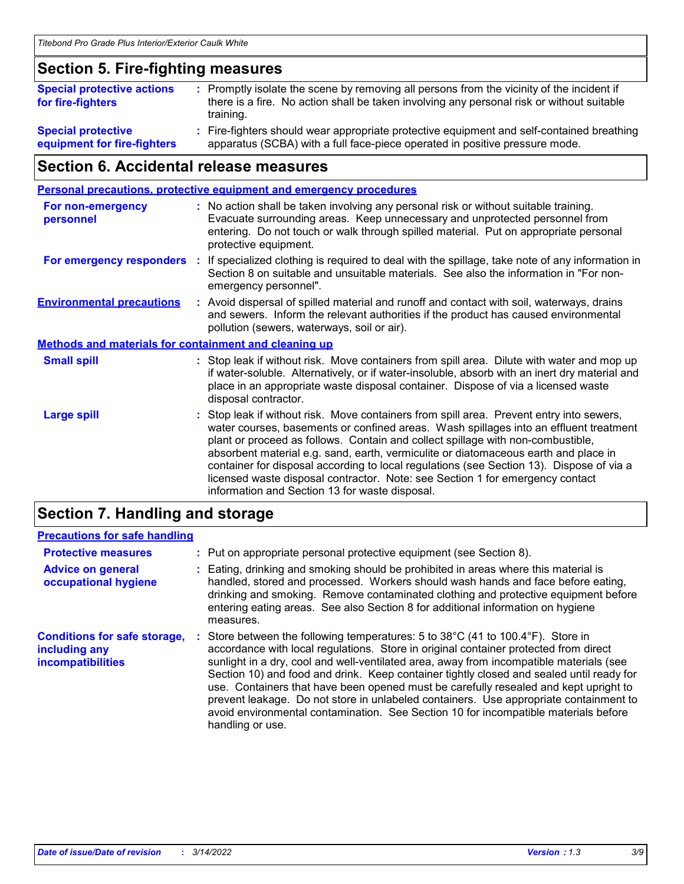### **Section 5. Fire-fighting measures**

| <b>Special protective actions</b><br>for fire-fighters   | : Promptly isolate the scene by removing all persons from the vicinity of the incident if<br>there is a fire. No action shall be taken involving any personal risk or without suitable<br>training. |
|----------------------------------------------------------|-----------------------------------------------------------------------------------------------------------------------------------------------------------------------------------------------------|
| <b>Special protective</b><br>equipment for fire-fighters | : Fire-fighters should wear appropriate protective equipment and self-contained breathing<br>apparatus (SCBA) with a full face-piece operated in positive pressure mode.                            |

### **Section 6. Accidental release measures**

| <b>Personal precautions, protective equipment and emergency procedures</b>                                                                                                                                                                                                                                                                                                                                                                                                                                                                                                                 |
|--------------------------------------------------------------------------------------------------------------------------------------------------------------------------------------------------------------------------------------------------------------------------------------------------------------------------------------------------------------------------------------------------------------------------------------------------------------------------------------------------------------------------------------------------------------------------------------------|
| : No action shall be taken involving any personal risk or without suitable training.<br>Evacuate surrounding areas. Keep unnecessary and unprotected personnel from<br>entering. Do not touch or walk through spilled material. Put on appropriate personal<br>protective equipment.                                                                                                                                                                                                                                                                                                       |
| If specialized clothing is required to deal with the spillage, take note of any information in<br>Section 8 on suitable and unsuitable materials. See also the information in "For non-<br>emergency personnel".                                                                                                                                                                                                                                                                                                                                                                           |
| : Avoid dispersal of spilled material and runoff and contact with soil, waterways, drains<br>and sewers. Inform the relevant authorities if the product has caused environmental<br>pollution (sewers, waterways, soil or air).                                                                                                                                                                                                                                                                                                                                                            |
| <b>Methods and materials for containment and cleaning up</b>                                                                                                                                                                                                                                                                                                                                                                                                                                                                                                                               |
| : Stop leak if without risk. Move containers from spill area. Dilute with water and mop up<br>if water-soluble. Alternatively, or if water-insoluble, absorb with an inert dry material and<br>place in an appropriate waste disposal container. Dispose of via a licensed waste<br>disposal contractor.                                                                                                                                                                                                                                                                                   |
| : Stop leak if without risk. Move containers from spill area. Prevent entry into sewers,<br>water courses, basements or confined areas. Wash spillages into an effluent treatment<br>plant or proceed as follows. Contain and collect spillage with non-combustible,<br>absorbent material e.g. sand, earth, vermiculite or diatomaceous earth and place in<br>container for disposal according to local regulations (see Section 13). Dispose of via a<br>licensed waste disposal contractor. Note: see Section 1 for emergency contact<br>information and Section 13 for waste disposal. |
| ÷.                                                                                                                                                                                                                                                                                                                                                                                                                                                                                                                                                                                         |

### **Section 7. Handling and storage**

### **Precautions for safe handling**

| <b>Protective measures</b>                                                | : Put on appropriate personal protective equipment (see Section 8).                                                                                                                                                                                                                                                                                                                                                                                                                                                                                                                                                                                      |
|---------------------------------------------------------------------------|----------------------------------------------------------------------------------------------------------------------------------------------------------------------------------------------------------------------------------------------------------------------------------------------------------------------------------------------------------------------------------------------------------------------------------------------------------------------------------------------------------------------------------------------------------------------------------------------------------------------------------------------------------|
| <b>Advice on general</b><br>occupational hygiene                          | Eating, drinking and smoking should be prohibited in areas where this material is<br>handled, stored and processed. Workers should wash hands and face before eating,<br>drinking and smoking. Remove contaminated clothing and protective equipment before<br>entering eating areas. See also Section 8 for additional information on hygiene<br>measures.                                                                                                                                                                                                                                                                                              |
| <b>Conditions for safe storage,</b><br>including any<br>incompatibilities | Store between the following temperatures: 5 to 38°C (41 to 100.4°F). Store in<br>accordance with local regulations. Store in original container protected from direct<br>sunlight in a dry, cool and well-ventilated area, away from incompatible materials (see<br>Section 10) and food and drink. Keep container tightly closed and sealed until ready for<br>use. Containers that have been opened must be carefully resealed and kept upright to<br>prevent leakage. Do not store in unlabeled containers. Use appropriate containment to<br>avoid environmental contamination. See Section 10 for incompatible materials before<br>handling or use. |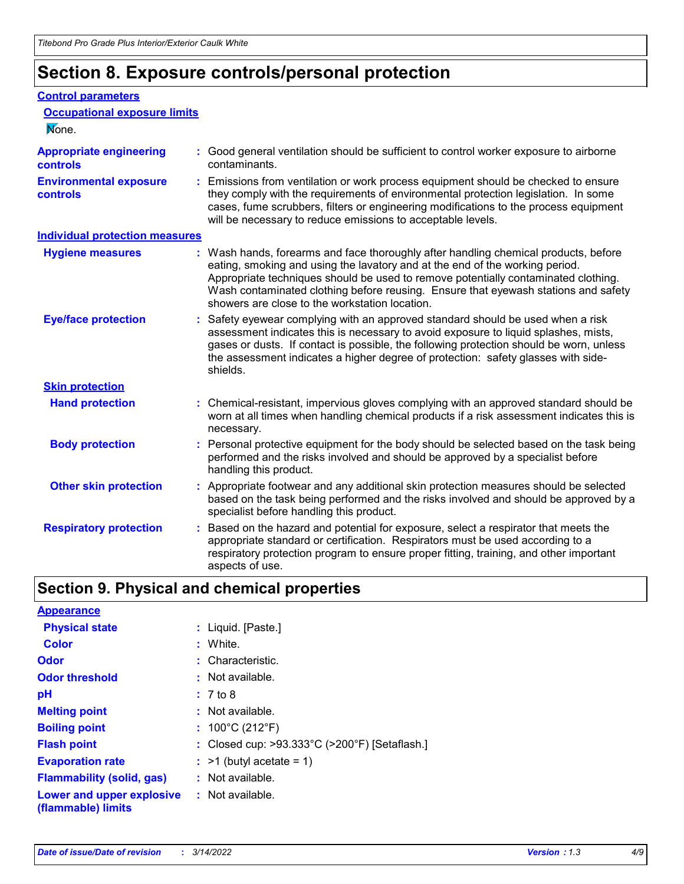## **Section 8. Exposure controls/personal protection**

#### **Control parameters**

| <b>Occupational exposure limits</b><br>None.      |                                                                                                                                                                                                                                                                                                                                                                                                   |
|---------------------------------------------------|---------------------------------------------------------------------------------------------------------------------------------------------------------------------------------------------------------------------------------------------------------------------------------------------------------------------------------------------------------------------------------------------------|
| <b>Appropriate engineering</b><br><b>controls</b> | : Good general ventilation should be sufficient to control worker exposure to airborne<br>contaminants.                                                                                                                                                                                                                                                                                           |
| <b>Environmental exposure</b><br><b>controls</b>  | : Emissions from ventilation or work process equipment should be checked to ensure<br>they comply with the requirements of environmental protection legislation. In some<br>cases, fume scrubbers, filters or engineering modifications to the process equipment<br>will be necessary to reduce emissions to acceptable levels.                                                                   |
| <b>Individual protection measures</b>             |                                                                                                                                                                                                                                                                                                                                                                                                   |
| <b>Hygiene measures</b>                           | : Wash hands, forearms and face thoroughly after handling chemical products, before<br>eating, smoking and using the lavatory and at the end of the working period.<br>Appropriate techniques should be used to remove potentially contaminated clothing.<br>Wash contaminated clothing before reusing. Ensure that eyewash stations and safety<br>showers are close to the workstation location. |
| <b>Eye/face protection</b>                        | : Safety eyewear complying with an approved standard should be used when a risk<br>assessment indicates this is necessary to avoid exposure to liquid splashes, mists,<br>gases or dusts. If contact is possible, the following protection should be worn, unless<br>the assessment indicates a higher degree of protection: safety glasses with side-<br>shields.                                |
| <b>Skin protection</b>                            |                                                                                                                                                                                                                                                                                                                                                                                                   |
| <b>Hand protection</b>                            | : Chemical-resistant, impervious gloves complying with an approved standard should be<br>worn at all times when handling chemical products if a risk assessment indicates this is<br>necessary.                                                                                                                                                                                                   |
| <b>Body protection</b>                            | : Personal protective equipment for the body should be selected based on the task being<br>performed and the risks involved and should be approved by a specialist before<br>handling this product.                                                                                                                                                                                               |
| <b>Other skin protection</b>                      | : Appropriate footwear and any additional skin protection measures should be selected<br>based on the task being performed and the risks involved and should be approved by a<br>specialist before handling this product.                                                                                                                                                                         |
| <b>Respiratory protection</b>                     | Based on the hazard and potential for exposure, select a respirator that meets the<br>appropriate standard or certification. Respirators must be used according to a<br>respiratory protection program to ensure proper fitting, training, and other important<br>aspects of use.                                                                                                                 |

### **Section 9. Physical and chemical properties**

| <b>Appearance</b>                                                       |                                               |
|-------------------------------------------------------------------------|-----------------------------------------------|
| <b>Physical state</b>                                                   | : Liquid. [Paste.]                            |
| <b>Color</b>                                                            | : White.                                      |
| Odor                                                                    | : Characteristic.                             |
| <b>Odor threshold</b>                                                   | $:$ Not available.                            |
| рH                                                                      | : 7 to 8                                      |
| <b>Melting point</b>                                                    | : Not available.                              |
| <b>Boiling point</b>                                                    | : $100^{\circ}$ C (212 $^{\circ}$ F)          |
| <b>Flash point</b>                                                      | : Closed cup: >93.333°C (>200°F) [Setaflash.] |
| <b>Evaporation rate</b>                                                 | $:$ >1 (butyl acetate = 1)                    |
| <b>Flammability (solid, gas)</b>                                        | : Not available.                              |
| <b>Lower and upper explosive : Not available.</b><br>(flammable) limits |                                               |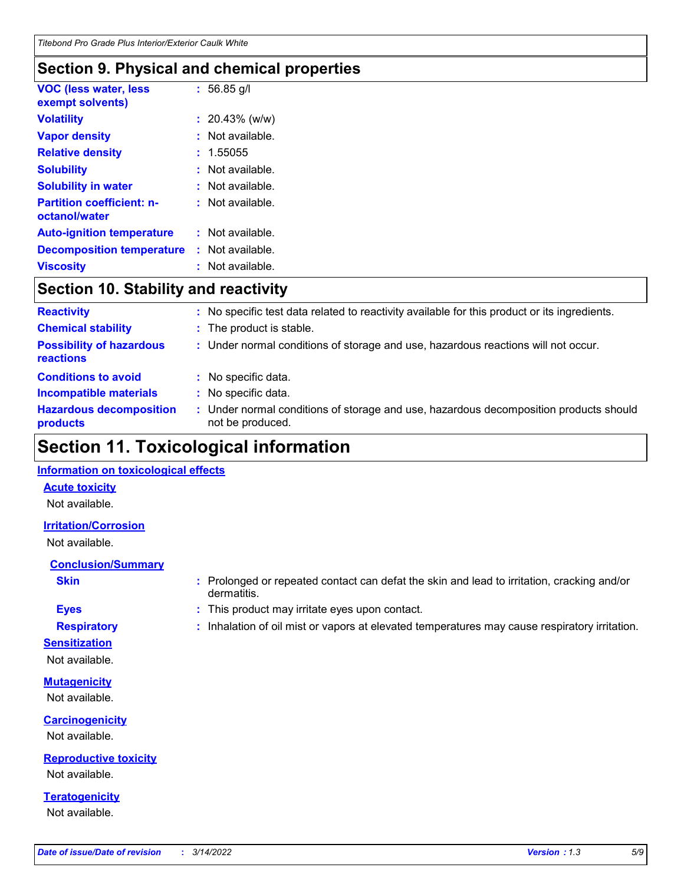### **Section 9. Physical and chemical properties**

| <b>VOC (less water, less</b><br>exempt solvents)  | $: 56.85$ g/l      |
|---------------------------------------------------|--------------------|
| <b>Volatility</b>                                 | $: 20.43\%$ (w/w)  |
| <b>Vapor density</b>                              | $:$ Not available. |
| <b>Relative density</b>                           | : 1.55055          |
| <b>Solubility</b>                                 | Not available.     |
| <b>Solubility in water</b>                        | $:$ Not available. |
| <b>Partition coefficient: n-</b><br>octanol/water | $:$ Not available. |
| <b>Auto-ignition temperature</b>                  | : Not available.   |
| <b>Decomposition temperature</b>                  | : Not available.   |
| <b>Viscosity</b>                                  | $:$ Not available. |

### **Section 10. Stability and reactivity**

| <b>Reactivity</b>                            |    | : No specific test data related to reactivity available for this product or its ingredients.              |
|----------------------------------------------|----|-----------------------------------------------------------------------------------------------------------|
| <b>Chemical stability</b>                    |    | : The product is stable.                                                                                  |
| <b>Possibility of hazardous</b><br>reactions |    | : Under normal conditions of storage and use, hazardous reactions will not occur.                         |
| <b>Conditions to avoid</b>                   |    | : No specific data.                                                                                       |
| <b>Incompatible materials</b>                | t. | No specific data.                                                                                         |
| <b>Hazardous decomposition</b><br>products   |    | : Under normal conditions of storage and use, hazardous decomposition products should<br>not be produced. |

### **Section 11. Toxicological information**

### **Information on toxicological effects**

#### **Acute toxicity**

Not available.

### **Irritation/Corrosion**

Not available.

### **Conclusion/Summary**

- 
- **Sensitization**

Not available.

**Mutagenicity** Not available.

**Carcinogenicity**

Not available.

**Reproductive toxicity** Not available.

**Teratogenicity** Not available.

- **Skin Example 3 :** Prolonged or repeated contact can defat the skin and lead to irritation, cracking and/or dermatitis.
- **Eyes :** This product may irritate eyes upon contact.
- **Respiratory :** Inhalation of oil mist or vapors at elevated temperatures may cause respiratory irritation.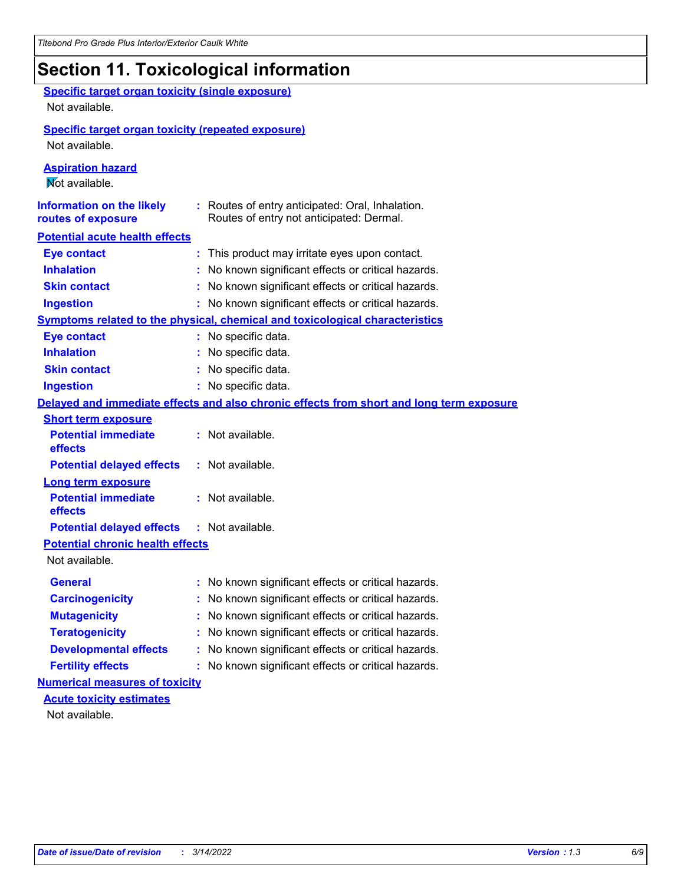## **Section 11. Toxicological information**

| <b>Specific target organ toxicity (single exposure)</b><br>Not available. |                                                                                              |
|---------------------------------------------------------------------------|----------------------------------------------------------------------------------------------|
| <b>Specific target organ toxicity (repeated exposure)</b>                 |                                                                                              |
| Not available.                                                            |                                                                                              |
| <b>Aspiration hazard</b>                                                  |                                                                                              |
| Mot available.                                                            |                                                                                              |
| <b>Information on the likely</b><br>routes of exposure                    | : Routes of entry anticipated: Oral, Inhalation.<br>Routes of entry not anticipated: Dermal. |
| <b>Potential acute health effects</b>                                     |                                                                                              |
| <b>Eye contact</b>                                                        | : This product may irritate eyes upon contact.                                               |
| <b>Inhalation</b>                                                         | : No known significant effects or critical hazards.                                          |
| <b>Skin contact</b>                                                       | : No known significant effects or critical hazards.                                          |
| <b>Ingestion</b>                                                          | : No known significant effects or critical hazards.                                          |
|                                                                           | <b>Symptoms related to the physical, chemical and toxicological characteristics</b>          |
| <b>Eye contact</b>                                                        | : No specific data.                                                                          |
| <b>Inhalation</b>                                                         | : No specific data.                                                                          |
| <b>Skin contact</b>                                                       | : No specific data.                                                                          |
| <b>Ingestion</b>                                                          | : No specific data.                                                                          |
|                                                                           | Delayed and immediate effects and also chronic effects from short and long term exposure     |
| <b>Short term exposure</b>                                                |                                                                                              |
| <b>Potential immediate</b><br>effects                                     | : Not available.                                                                             |
| <b>Potential delayed effects</b>                                          | : Not available.                                                                             |
| <b>Long term exposure</b>                                                 |                                                                                              |
| <b>Potential immediate</b><br>effects                                     | : Not available.                                                                             |
| <b>Potential delayed effects</b>                                          | : Not available.                                                                             |
| <b>Potential chronic health effects</b>                                   |                                                                                              |
| Not available.                                                            |                                                                                              |
| General                                                                   | : No known significant effects or critical hazards.                                          |
| <b>Carcinogenicity</b>                                                    | : No known significant effects or critical hazards.                                          |
| <b>Mutagenicity</b>                                                       | No known significant effects or critical hazards.                                            |
| <b>Teratogenicity</b>                                                     | No known significant effects or critical hazards.                                            |
| <b>Developmental effects</b>                                              | No known significant effects or critical hazards.                                            |
| <b>Fertility effects</b>                                                  | No known significant effects or critical hazards.                                            |
| <b>Numerical measures of toxicity</b>                                     |                                                                                              |
| <b>Acute toxicity estimates</b>                                           |                                                                                              |
| Not available.                                                            |                                                                                              |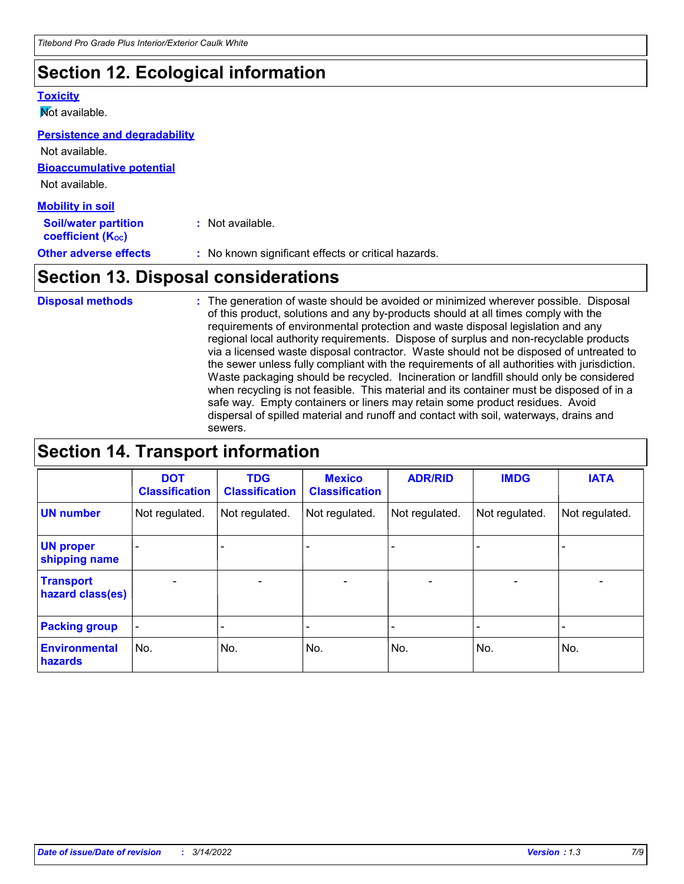### **Section 12. Ecological information**

#### **Toxicity**

**Not available.** 

#### **Persistence and degradability**

**Bioaccumulative potential** Not available. Not available.

| : Not available.                                    |
|-----------------------------------------------------|
| : No known significant effects or critical hazards. |
|                                                     |

### **Section 13. Disposal considerations**

The generation of waste should be avoided or minimized wherever possible. Disposal of this product, solutions and any by-products should at all times comply with the requirements of environmental protection and waste disposal legislation and any regional local authority requirements. Dispose of surplus and non-recyclable products via a licensed waste disposal contractor. Waste should not be disposed of untreated to the sewer unless fully compliant with the requirements of all authorities with jurisdiction. Waste packaging should be recycled. Incineration or landfill should only be considered when recycling is not feasible. This material and its container must be disposed of in a safe way. Empty containers or liners may retain some product residues. Avoid dispersal of spilled material and runoff and contact with soil, waterways, drains and sewers. **Disposal methods :**

### **Section 14. Transport information**

|                                      | <b>DOT</b><br><b>Classification</b> | <b>TDG</b><br><b>Classification</b> | <b>Mexico</b><br><b>Classification</b> | <b>ADR/RID</b>               | <b>IMDG</b>              | <b>IATA</b>              |
|--------------------------------------|-------------------------------------|-------------------------------------|----------------------------------------|------------------------------|--------------------------|--------------------------|
| <b>UN number</b>                     | Not regulated.                      | Not regulated.                      | Not regulated.                         | Not regulated.               | Not regulated.           | Not regulated.           |
| <b>UN proper</b><br>shipping name    |                                     |                                     |                                        |                              |                          |                          |
| <b>Transport</b><br>hazard class(es) | $\overline{\phantom{0}}$            | $\overline{\phantom{0}}$            | $\qquad \qquad$                        | $\qquad \qquad \blacksquare$ | $\overline{\phantom{0}}$ | $\overline{\phantom{0}}$ |
| <b>Packing group</b>                 | $\blacksquare$                      | -                                   |                                        | -                            |                          | -                        |
| <b>Environmental</b><br>hazards      | No.                                 | No.                                 | No.                                    | No.                          | No.                      | No.                      |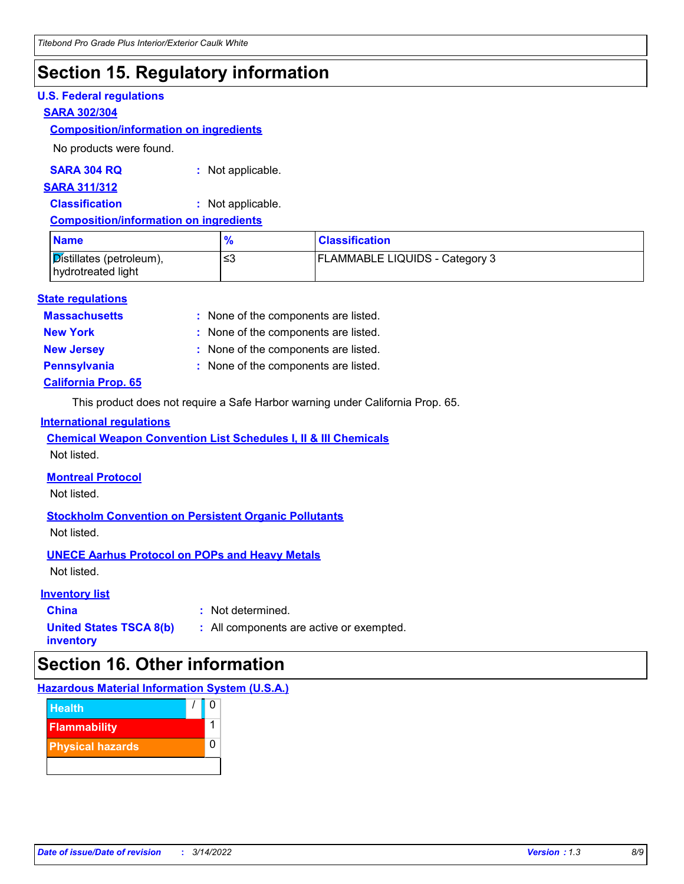### **Section 15. Regulatory information**

#### **U.S. Federal regulations**

#### **SARA 302/304**

#### **Composition/information on ingredients**

No products were found.

#### **SARA 304 RQ :** Not applicable.

#### **SARA 311/312**

**Classification :** Not applicable.

#### **Composition/information on ingredients**

| <b>Name</b>                                                 | $\frac{1}{2}$ | <b>Classification</b>                 |
|-------------------------------------------------------------|---------------|---------------------------------------|
| $\mathcal{D}$ istillates (petroleum),<br>hydrotreated light | ≤3            | <b>FLAMMABLE LIQUIDS - Category 3</b> |

#### **State regulations**

**Massachusetts :**

: None of the components are listed.

- 
- **New York :** None of the components are listed.

- **New Jersey :** None of the components are listed.
- **California Prop. 65 Pennsylvania :** None of the components are listed.
	- This product does not require a Safe Harbor warning under California Prop. 65.

#### **International regulations**

**Chemical Weapon Convention List Schedules I, II & III Chemicals**

Not listed.

### **Montreal Protocol**

Not listed.

### **Stockholm Convention on Persistent Organic Pollutants**

Not listed.

### **UNECE Aarhus Protocol on POPs and Heavy Metals**

Not listed.

### **Inventory list**

**China :** Not determined.

**United States TSCA 8(b) inventory**

**:** All components are active or exempted.

### **Section 16. Other information**

### **Hazardous Material Information System (U.S.A.)**

| <b>Health</b>           |   |
|-------------------------|---|
| <b>Flammability</b>     |   |
| <b>Physical hazards</b> | ი |
|                         |   |